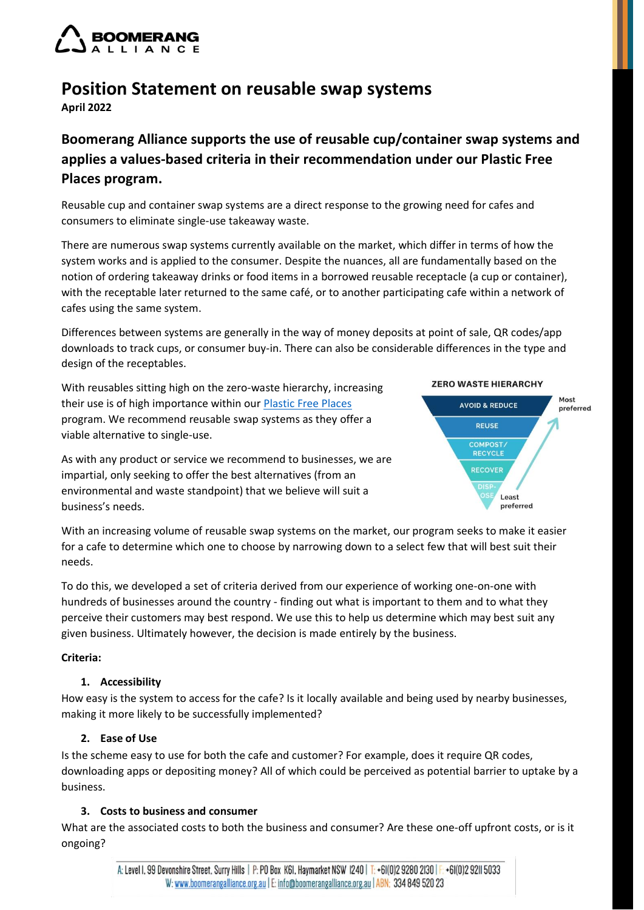

# **Position Statement on reusable swap systems**

**April 2022**

# **Boomerang Alliance supports the use of reusable cup/container swap systems and applies a values-based criteria in their recommendation under our Plastic Free Places program.**

Reusable cup and container swap systems are a direct response to the growing need for cafes and consumers to eliminate single-use takeaway waste.

There are numerous swap systems currently available on the market, which differ in terms of how the system works and is applied to the consumer. Despite the nuances, all are fundamentally based on the notion of ordering takeaway drinks or food items in a borrowed reusable receptacle (a cup or container), with the receptable later returned to the same café, or to another participating cafe within a network of cafes using the same system.

Differences between systems are generally in the way of money deposits at point of sale, QR codes/app downloads to track cups, or consumer buy-in. There can also be considerable differences in the type and design of the receptables.

With reusables sitting high on the zero-waste hierarchy, increasing their use is of high importance within our [Plastic Free Places](http://www.plasticfreeplaces.org/) program. We recommend reusable swap systems as they offer a viable alternative to single-use.



As with any product or service we recommend to businesses, we are impartial, only seeking to offer the best alternatives (from an environmental and waste standpoint) that we believe will suit a business's needs.

With an increasing volume of reusable swap systems on the market, our program seeks to make it easier for a cafe to determine which one to choose by narrowing down to a select few that will best suit their needs.

To do this, we developed a set of criteria derived from our experience of working one-on-one with hundreds of businesses around the country - finding out what is important to them and to what they perceive their customers may best respond. We use this to help us determine which may best suit any given business. Ultimately however, the decision is made entirely by the business.

#### **Criteria:**

#### **1. Accessibility**

How easy is the system to access for the cafe? Is it locally available and being used by nearby businesses, making it more likely to be successfully implemented?

## **2. Ease of Use**

Is the scheme easy to use for both the cafe and customer? For example, does it require QR codes, downloading apps or depositing money? All of which could be perceived as potential barrier to uptake by a business.

## **3. Costs to business and consumer**

What are the associated costs to both the business and consumer? Are these one-off upfront costs, or is it ongoing?